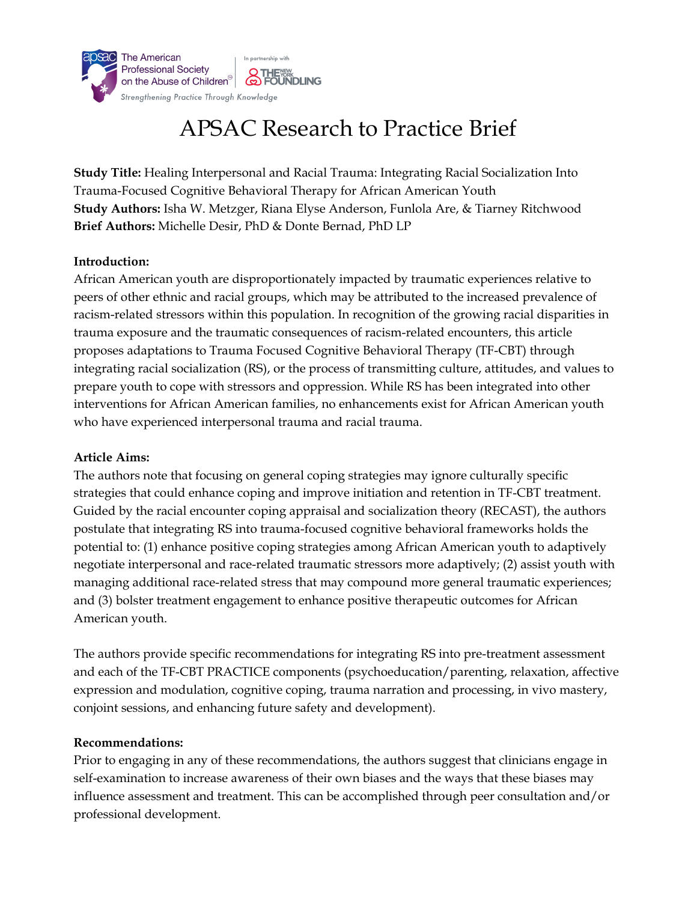

# APSAC Research to Practice Brief

**Study Title:** Healing Interpersonal and Racial Trauma: Integrating Racial Socialization Into Trauma-Focused Cognitive Behavioral Therapy for African American Youth **Study Authors:** Isha W. Metzger, Riana Elyse Anderson, Funlola Are, & Tiarney Ritchwood **Brief Authors:** Michelle Desir, PhD & Donte Bernad, PhD LP

### **Introduction:**

African American youth are disproportionately impacted by traumatic experiences relative to peers of other ethnic and racial groups, which may be attributed to the increased prevalence of racism-related stressors within this population. In recognition of the growing racial disparities in trauma exposure and the traumatic consequences of racism-related encounters, this article proposes adaptations to Trauma Focused Cognitive Behavioral Therapy (TF-CBT) through integrating racial socialization (RS), or the process of transmitting culture, attitudes, and values to prepare youth to cope with stressors and oppression. While RS has been integrated into other interventions for African American families, no enhancements exist for African American youth who have experienced interpersonal trauma and racial trauma.

#### **Article Aims:**

The authors note that focusing on general coping strategies may ignore culturally specific strategies that could enhance coping and improve initiation and retention in TF-CBT treatment. Guided by the racial encounter coping appraisal and socialization theory (RECAST), the authors postulate that integrating RS into trauma-focused cognitive behavioral frameworks holds the potential to: (1) enhance positive coping strategies among African American youth to adaptively negotiate interpersonal and race-related traumatic stressors more adaptively; (2) assist youth with managing additional race-related stress that may compound more general traumatic experiences; and (3) bolster treatment engagement to enhance positive therapeutic outcomes for African American youth.

The authors provide specific recommendations for integrating RS into pre-treatment assessment and each of the TF-CBT PRACTICE components (psychoeducation/parenting, relaxation, affective expression and modulation, cognitive coping, trauma narration and processing, in vivo mastery, conjoint sessions, and enhancing future safety and development).

#### **Recommendations:**

Prior to engaging in any of these recommendations, the authors suggest that clinicians engage in self-examination to increase awareness of their own biases and the ways that these biases may influence assessment and treatment. This can be accomplished through peer consultation and/or professional development.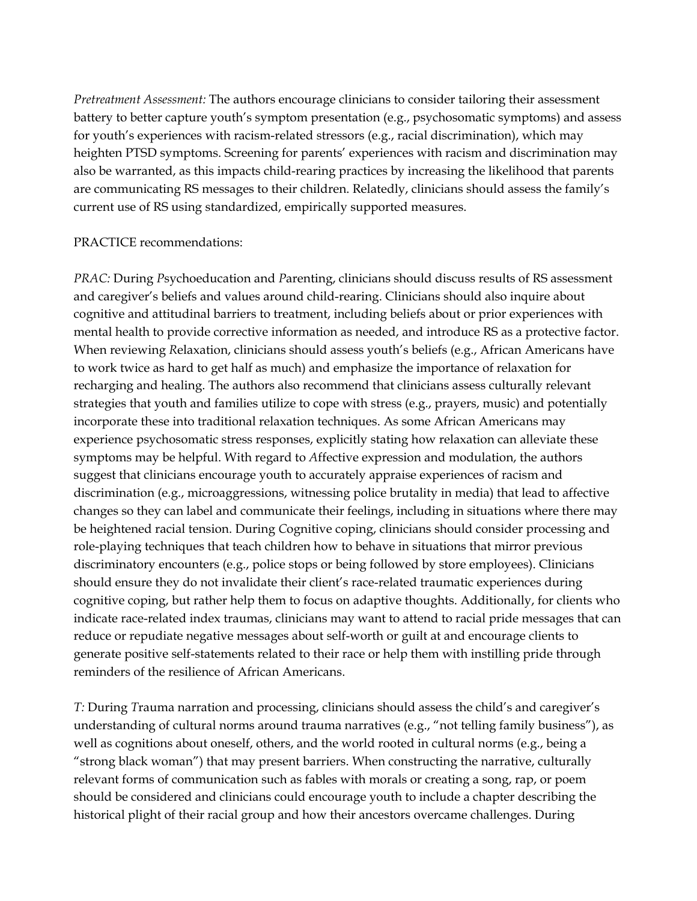*Pretreatment Assessment:* The authors encourage clinicians to consider tailoring their assessment battery to better capture youth's symptom presentation (e.g., psychosomatic symptoms) and assess for youth's experiences with racism-related stressors (e.g., racial discrimination), which may heighten PTSD symptoms. Screening for parents' experiences with racism and discrimination may also be warranted, as this impacts child-rearing practices by increasing the likelihood that parents are communicating RS messages to their children. Relatedly, clinicians should assess the family's current use of RS using standardized, empirically supported measures.

#### PRACTICE recommendations:

*PRAC:* During *P*sychoeducation and *P*arenting, clinicians should discuss results of RS assessment and caregiver's beliefs and values around child-rearing. Clinicians should also inquire about cognitive and attitudinal barriers to treatment, including beliefs about or prior experiences with mental health to provide corrective information as needed, and introduce RS as a protective factor. When reviewing *R*elaxation, clinicians should assess youth's beliefs (e.g., African Americans have to work twice as hard to get half as much) and emphasize the importance of relaxation for recharging and healing. The authors also recommend that clinicians assess culturally relevant strategies that youth and families utilize to cope with stress (e.g., prayers, music) and potentially incorporate these into traditional relaxation techniques. As some African Americans may experience psychosomatic stress responses, explicitly stating how relaxation can alleviate these symptoms may be helpful. With regard to *A*ffective expression and modulation, the authors suggest that clinicians encourage youth to accurately appraise experiences of racism and discrimination (e.g., microaggressions, witnessing police brutality in media) that lead to affective changes so they can label and communicate their feelings, including in situations where there may be heightened racial tension. During *C*ognitive coping, clinicians should consider processing and role-playing techniques that teach children how to behave in situations that mirror previous discriminatory encounters (e.g., police stops or being followed by store employees). Clinicians should ensure they do not invalidate their client's race-related traumatic experiences during cognitive coping, but rather help them to focus on adaptive thoughts. Additionally, for clients who indicate race-related index traumas, clinicians may want to attend to racial pride messages that can reduce or repudiate negative messages about self-worth or guilt at and encourage clients to generate positive self-statements related to their race or help them with instilling pride through reminders of the resilience of African Americans.

*T:* During *T*rauma narration and processing, clinicians should assess the child's and caregiver's understanding of cultural norms around trauma narratives (e.g., "not telling family business"), as well as cognitions about oneself, others, and the world rooted in cultural norms (e.g., being a "strong black woman") that may present barriers. When constructing the narrative, culturally relevant forms of communication such as fables with morals or creating a song, rap, or poem should be considered and clinicians could encourage youth to include a chapter describing the historical plight of their racial group and how their ancestors overcame challenges. During